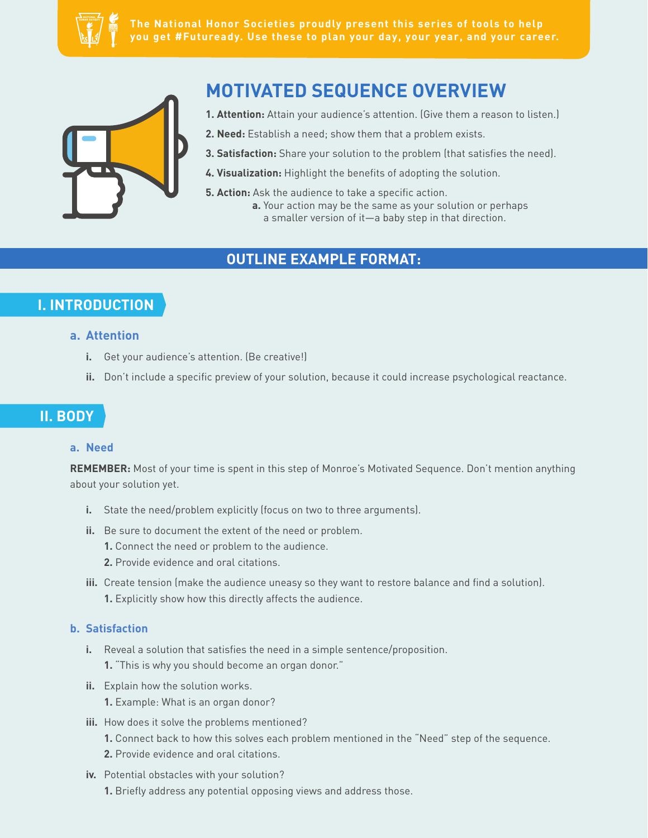

**The National Honor Societies proudly present this series of tools to help you get #Futuready. Use these to plan your day, your year, and your career.**



# **MOTIVATED SEQUENCE OVERVIEW**

- **1. Attention:** Attain your audience's attention. (Give them a reason to listen.)
- **2. Need:** Establish a need; show them that a problem exists.
- **3. Satisfaction:** Share your solution to the problem (that satisfies the need).
- 4. Visualization: Highlight the benefits of adopting the solution.
- **5. Action:** Ask the audience to take a specific action. **a.** Your action may be the same as your solution or perhaps a smaller version of it—a baby step in that direction.

### **OUTLINE EXAMPLE FORMAT:**

## **I. INTRODUCTION**

#### **a. Attention**

- **i.** Get your audience's attention. (Be creative!)
- ii. Don't include a specific preview of your solution, because it could increase psychological reactance.

### **II. BODY**

#### **a. Need**

**REMEMBER:** Most of your time is spent in this step of Monroe's Motivated Sequence. Don't mention anything about your solution yet.

- **i.** State the need/problem explicitly (focus on two to three arguments).
- **ii.** Be sure to document the extent of the need or problem.
	- **1.** Connect the need or problem to the audience.
	- **2.** Provide evidence and oral citations.
- iii. Create tension (make the audience uneasy so they want to restore balance and find a solution). **1.** Explicitly show how this directly affects the audience.

#### **b. Satisfaction**

- **i.** Reveal a solution that satisfies the need in a simple sentence/proposition.
	- **1.** "This is why you should become an organ donor."
- **ii.** Explain how the solution works.
	- **1.** Example: What is an organ donor?
- **iii.** How does it solve the problems mentioned?
	- **1.** Connect back to how this solves each problem mentioned in the "Need" step of the sequence.
	- **2.** Provide evidence and oral citations.
- **iv.** Potential obstacles with your solution?
	- **1.** Briefly address any potential opposing views and address those.